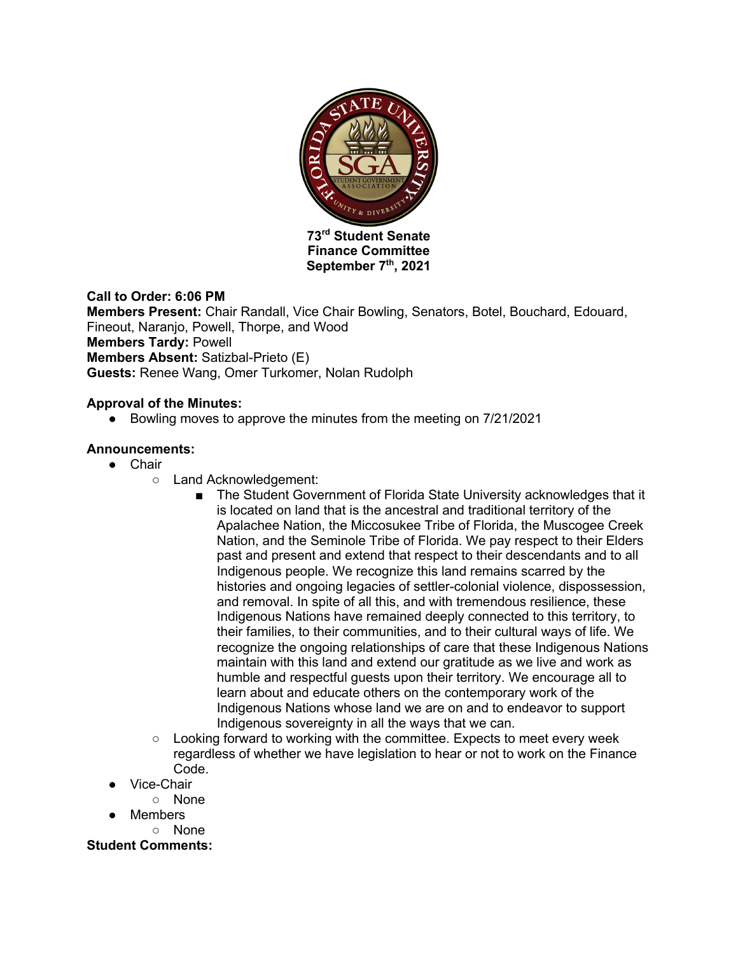

**Finance Committee** September 7<sup>th</sup>, 2021

### **Call to Order: 6:06 PM**

**Members Present:** Chair Randall, Vice Chair Bowling, Senators, Botel, Bouchard, Edouard, Fineout, Naranjo, Powell, Thorpe, and Wood **Members Tardy:** Powell **Members Absent:** Satizbal-Prieto (E) **Guests:** Renee Wang, Omer Turkomer, Nolan Rudolph

### **Approval of the Minutes:**

● Bowling moves to approve the minutes from the meeting on 7/21/2021

### **Announcements:**

- Chair
	- Land Acknowledgement:
		- The Student Government of Florida State University acknowledges that it is located on land that is the ancestral and traditional territory of the Apalachee Nation, the Miccosukee Tribe of Florida, the Muscogee Creek Nation, and the Seminole Tribe of Florida. We pay respect to their Elders past and present and extend that respect to their descendants and to all Indigenous people. We recognize this land remains scarred by the histories and ongoing legacies of settler-colonial violence, dispossession, and removal. In spite of all this, and with tremendous resilience, these Indigenous Nations have remained deeply connected to this territory, to their families, to their communities, and to their cultural ways of life. We recognize the ongoing relationships of care that these Indigenous Nations maintain with this land and extend our gratitude as we live and work as humble and respectful guests upon their territory. We encourage all to learn about and educate others on the contemporary work of the Indigenous Nations whose land we are on and to endeavor to support Indigenous sovereignty in all the ways that we can.
	- Looking forward to working with the committee. Expects to meet every week regardless of whether we have legislation to hear or not to work on the Finance Code.
- Vice-Chair
	- None
- Members ○ None

**Student Comments:**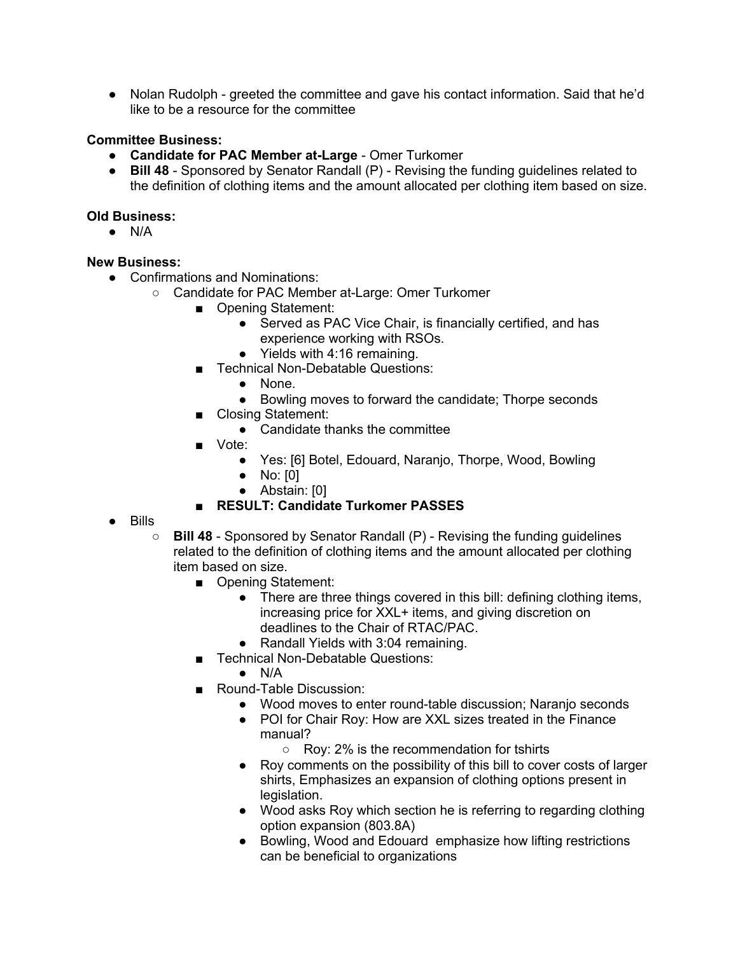● Nolan Rudolph - greeted the committee and gave his contact information. Said that he'd like to be a resource for the committee

## **Committee Business:**

- **Candidate for PAC Member at-Large** Omer Turkomer
- **Bill 48**  Sponsored by Senator Randall (P) Revising the funding guidelines related to the definition of clothing items and the amount allocated per clothing item based on size.

## **Old Business:**

● N/A

## **New Business:**

- Confirmations and Nominations:
	- Candidate for PAC Member at-Large: Omer Turkomer
		- Opening Statement:
			- Served as PAC Vice Chair, is financially certified, and has experience working with RSOs.
			- Yields with 4:16 remaining.
		- Technical Non-Debatable Questions:
			- None.
			- Bowling moves to forward the candidate; Thorpe seconds
		- Closing Statement:
			- Candidate thanks the committee
		- Vote:
			- Yes: [6] Botel, Edouard, Naranjo, Thorpe, Wood, Bowling
			- No: [0]
			- Abstain: [0]
		- **RESULT: Candidate Turkomer PASSES**
- Bills
	- **Bill 48**  Sponsored by Senator Randall (P) Revising the funding guidelines related to the definition of clothing items and the amount allocated per clothing item based on size.
		- Opening Statement:
			- There are three things covered in this bill: defining clothing items, increasing price for XXL+ items, and giving discretion on deadlines to the Chair of RTAC/PAC.
			- Randall Yields with 3:04 remaining.
		- Technical Non-Debatable Questions:
			- $\bullet$  N/A
		- Round-Table Discussion:
			- Wood moves to enter round-table discussion; Naranjo seconds
			- POI for Chair Roy: How are XXL sizes treated in the Finance manual?
				- Roy: 2% is the recommendation for tshirts
			- Roy comments on the possibility of this bill to cover costs of larger shirts, Emphasizes an expansion of clothing options present in legislation.
			- Wood asks Roy which section he is referring to regarding clothing option expansion (803.8A)
			- Bowling, Wood and Edouard emphasize how lifting restrictions can be beneficial to organizations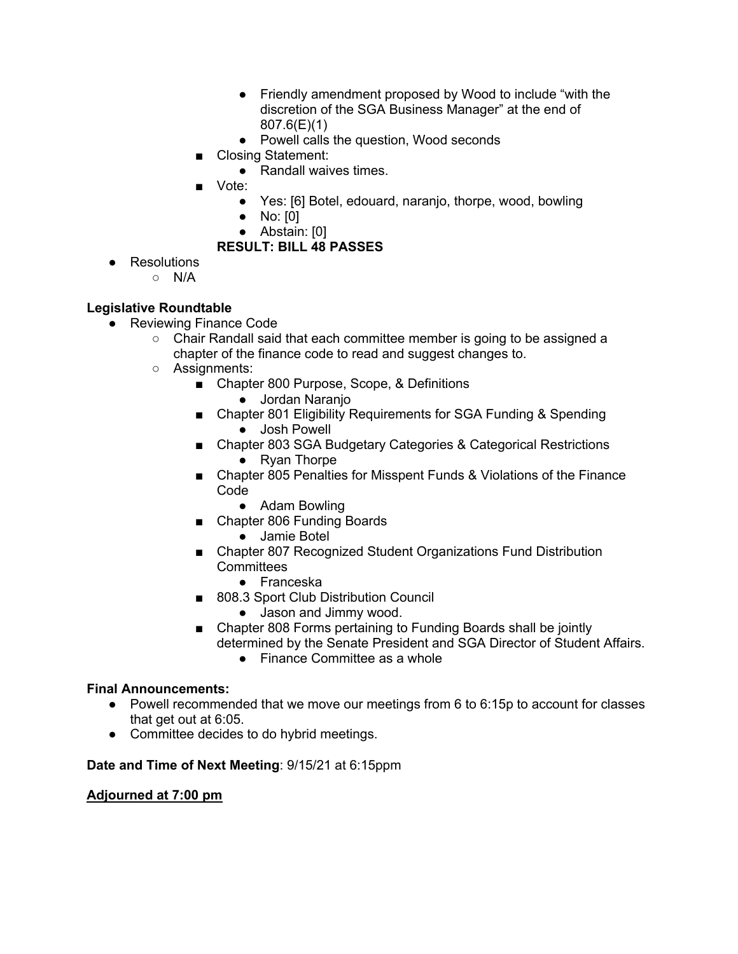- Friendly amendment proposed by Wood to include "with the discretion of the SGA Business Manager" at the end of 807.6(E)(1)
- Powell calls the question, Wood seconds
- Closing Statement:
	- Randall waives times.
- Vote:
	- Yes: [6] Botel, edouard, naranjo, thorpe, wood, bowling
	- No: [0]
	- Abstain: [0]

# **RESULT: BILL 48 PASSES**

- Resolutions
	- N/A

# **Legislative Roundtable**

- Reviewing Finance Code
	- Chair Randall said that each committee member is going to be assigned a chapter of the finance code to read and suggest changes to.
	- Assignments:
		- Chapter 800 Purpose, Scope, & Definitions
			- Jordan Naranjo
		- Chapter 801 Eligibility Requirements for SGA Funding & Spending ● Josh Powell
		- Chapter 803 SGA Budgetary Categories & Categorical Restrictions ● Ryan Thorpe
		- Chapter 805 Penalties for Misspent Funds & Violations of the Finance Code
			- Adam Bowling
		- Chapter 806 Funding Boards
			- Jamie Botel
		- Chapter 807 Recognized Student Organizations Fund Distribution **Committees** 
			- Franceska
		- 808.3 Sport Club Distribution Council
			- Jason and Jimmy wood.
		- Chapter 808 Forms pertaining to Funding Boards shall be jointly determined by the Senate President and SGA Director of Student Affairs.
			- Finance Committee as a whole

### **Final Announcements:**

- Powell recommended that we move our meetings from 6 to 6:15p to account for classes that get out at 6:05.
- Committee decides to do hybrid meetings.

# **Date and Time of Next Meeting**: 9/15/21 at 6:15ppm

### **Adjourned at 7:00 pm**